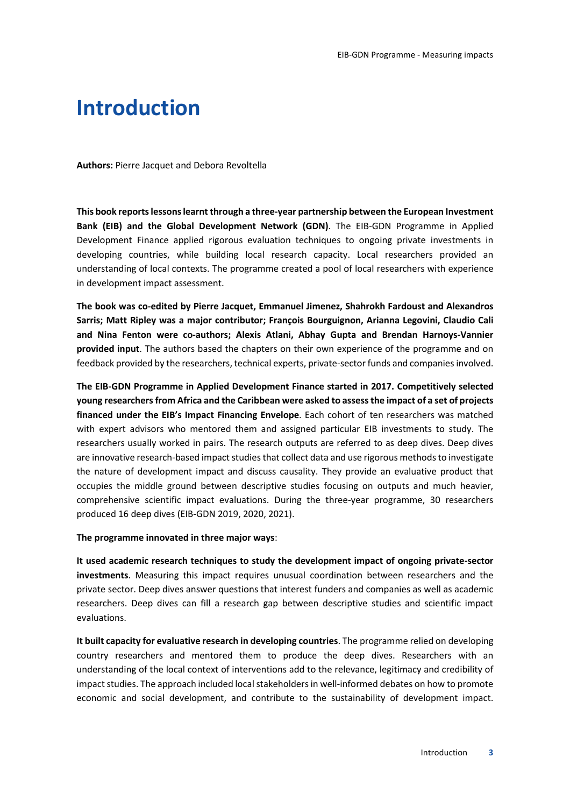# **Introduction**

**Authors:** Pierre Jacquet and Debora Revoltella

**This book reports lessons learnt through a three-year partnership between the European Investment Bank (EIB) and the Global Development Network (GDN)**. The EIB-GDN Programme in Applied Development Finance applied rigorous evaluation techniques to ongoing private investments in developing countries, while building local research capacity. Local researchers provided an understanding of local contexts. The programme created a pool of local researchers with experience in development impact assessment.

**The book was co-edited by Pierre Jacquet, Emmanuel Jimenez, Shahrokh Fardoust and Alexandros Sarris; Matt Ripley was a major contributor; François Bourguignon, Arianna Legovini, Claudio Cali and Nina Fenton were co-authors; Alexis Atlani, Abhay Gupta and Brendan Harnoys-Vannier provided input**. The authors based the chapters on their own experience of the programme and on feedback provided by the researchers, technical experts, private-sector funds and companies involved.

**The EIB-GDN Programme in Applied Development Finance started in 2017. Competitively selected young researchers from Africa and the Caribbean were asked to assess the impact of a set of projects financed under the EIB's Impact Financing Envelope**. Each cohort of ten researchers was matched with expert advisors who mentored them and assigned particular EIB investments to study. The researchers usually worked in pairs. The research outputs are referred to as deep dives. Deep dives are innovative research-based impact studies that collect data and use rigorous methods to investigate the nature of development impact and discuss causality. They provide an evaluative product that occupies the middle ground between descriptive studies focusing on outputs and much heavier, comprehensive scientific impact evaluations. During the three-year programme, 30 researchers produced 16 deep dives (EIB-GDN 2019, 2020, 2021).

**The programme innovated in three major ways**:

**It used academic research techniques to study the development impact of ongoing private-sector investments**. Measuring this impact requires unusual coordination between researchers and the private sector. Deep dives answer questions that interest funders and companies as well as academic researchers. Deep dives can fill a research gap between descriptive studies and scientific impact evaluations.

**It built capacity for evaluative research in developing countries**. The programme relied on developing country researchers and mentored them to produce the deep dives. Researchers with an understanding of the local context of interventions add to the relevance, legitimacy and credibility of impact studies. The approach included local stakeholders in well-informed debates on how to promote economic and social development, and contribute to the sustainability of development impact.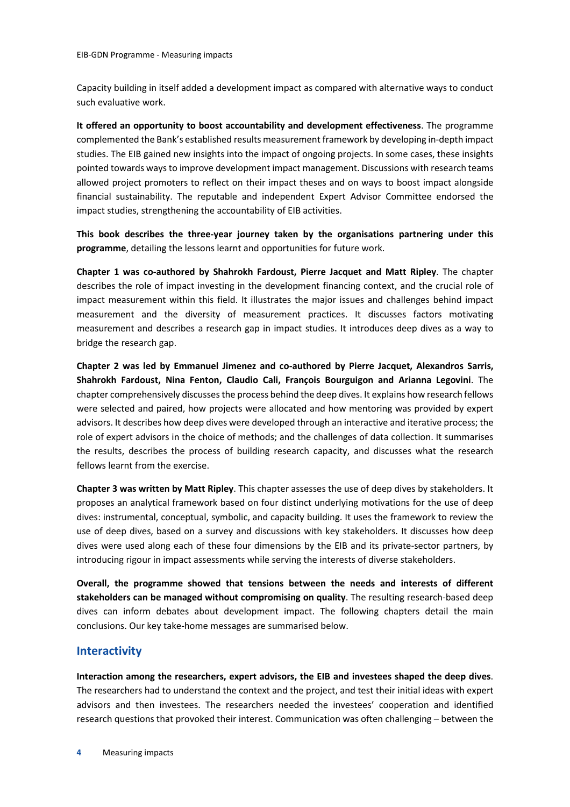Capacity building in itself added a development impact as compared with alternative ways to conduct such evaluative work.

**It offered an opportunity to boost accountability and development effectiveness**. The programme complemented the Bank's established results measurement framework by developing in-depth impact studies. The EIB gained new insights into the impact of ongoing projects. In some cases, these insights pointed towards ways to improve development impact management. Discussions with research teams allowed project promoters to reflect on their impact theses and on ways to boost impact alongside financial sustainability. The reputable and independent Expert Advisor Committee endorsed the impact studies, strengthening the accountability of EIB activities.

**This book describes the three-year journey taken by the organisations partnering under this programme**, detailing the lessons learnt and opportunities for future work.

**Chapter 1 was co-authored by Shahrokh Fardoust, Pierre Jacquet and Matt Ripley**. The chapter describes the role of impact investing in the development financing context, and the crucial role of impact measurement within this field. It illustrates the major issues and challenges behind impact measurement and the diversity of measurement practices. It discusses factors motivating measurement and describes a research gap in impact studies. It introduces deep dives as a way to bridge the research gap.

**Chapter 2 was led by Emmanuel Jimenez and co-authored by Pierre Jacquet, Alexandros Sarris, Shahrokh Fardoust, Nina Fenton, Claudio Cali, François Bourguigon and Arianna Legovini**. The chapter comprehensively discusses the process behind the deep dives. It explains how research fellows were selected and paired, how projects were allocated and how mentoring was provided by expert advisors. It describes how deep dives were developed through an interactive and iterative process; the role of expert advisors in the choice of methods; and the challenges of data collection. It summarises the results, describes the process of building research capacity, and discusses what the research fellows learnt from the exercise.

**Chapter 3 was written by Matt Ripley**. This chapter assesses the use of deep dives by stakeholders. It proposes an analytical framework based on four distinct underlying motivations for the use of deep dives: instrumental, conceptual, symbolic, and capacity building. It uses the framework to review the use of deep dives, based on a survey and discussions with key stakeholders. It discusses how deep dives were used along each of these four dimensions by the EIB and its private-sector partners, by introducing rigour in impact assessments while serving the interests of diverse stakeholders.

**Overall, the programme showed that tensions between the needs and interests of different stakeholders can be managed without compromising on quality**. The resulting research-based deep dives can inform debates about development impact. The following chapters detail the main conclusions. Our key take-home messages are summarised below.

## **Interactivity**

**Interaction among the researchers, expert advisors, the EIB and investees shaped the deep dives**. The researchers had to understand the context and the project, and test their initial ideas with expert advisors and then investees. The researchers needed the investees' cooperation and identified research questions that provoked their interest. Communication was often challenging – between the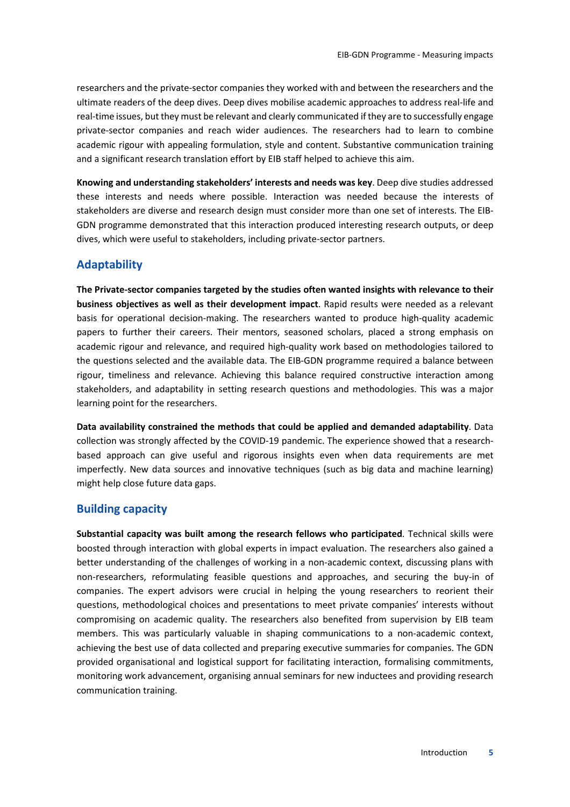researchers and the private-sector companies they worked with and between the researchers and the ultimate readers of the deep dives. Deep dives mobilise academic approaches to address real-life and real-time issues, but they must be relevant and clearly communicated if they are to successfully engage private-sector companies and reach wider audiences. The researchers had to learn to combine academic rigour with appealing formulation, style and content. Substantive communication training and a significant research translation effort by EIB staff helped to achieve this aim.

**Knowing and understanding stakeholders' interests and needs was key**. Deep dive studies addressed these interests and needs where possible. Interaction was needed because the interests of stakeholders are diverse and research design must consider more than one set of interests. The EIB-GDN programme demonstrated that this interaction produced interesting research outputs, or deep dives, which were useful to stakeholders, including private-sector partners.

## **Adaptability**

**The Private-sector companies targeted by the studies often wanted insights with relevance to their business objectives as well as their development impact**. Rapid results were needed as a relevant basis for operational decision-making. The researchers wanted to produce high-quality academic papers to further their careers. Their mentors, seasoned scholars, placed a strong emphasis on academic rigour and relevance, and required high-quality work based on methodologies tailored to the questions selected and the available data. The EIB-GDN programme required a balance between rigour, timeliness and relevance. Achieving this balance required constructive interaction among stakeholders, and adaptability in setting research questions and methodologies. This was a major learning point for the researchers.

**Data availability constrained the methods that could be applied and demanded adaptability**. Data collection was strongly affected by the COVID-19 pandemic. The experience showed that a researchbased approach can give useful and rigorous insights even when data requirements are met imperfectly. New data sources and innovative techniques (such as big data and machine learning) might help close future data gaps.

## **Building capacity**

**Substantial capacity was built among the research fellows who participated**. Technical skills were boosted through interaction with global experts in impact evaluation. The researchers also gained a better understanding of the challenges of working in a non-academic context, discussing plans with non-researchers, reformulating feasible questions and approaches, and securing the buy-in of companies. The expert advisors were crucial in helping the young researchers to reorient their questions, methodological choices and presentations to meet private companies' interests without compromising on academic quality. The researchers also benefited from supervision by EIB team members. This was particularly valuable in shaping communications to a non-academic context, achieving the best use of data collected and preparing executive summaries for companies. The GDN provided organisational and logistical support for facilitating interaction, formalising commitments, monitoring work advancement, organising annual seminars for new inductees and providing research communication training.